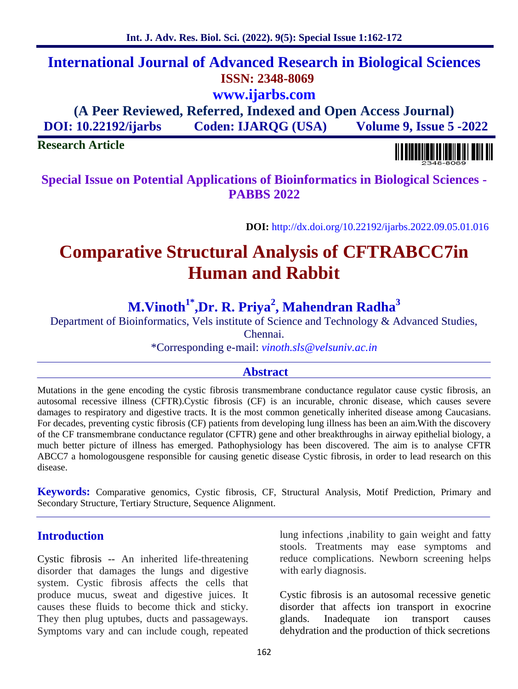# **International Journal of Advanced Research in Biological Sciences ISSN: 2348-8069 www.ijarbs.com**

**(A Peer Reviewed, Referred, Indexed and Open Access Journal) DOI: 10.22192/ijarbs Coden: IJARQG (USA) Volume 9, Issue 5 -2022**

# **Research Article**

**Special Issue on Potential Applications of Bioinformatics in Biological Sciences - PABBS 2022**

**DOI:** http://dx.doi.org/10.22192/ijarbs.2022.09.05.01.016

# **Comparative Structural Analysis of CFTRABCC7in Human and Rabbit**

# **M.Vinoth1\*,Dr. R. Priya<sup>2</sup> , Mahendran Radha<sup>3</sup>**

Department of Bioinformatics, Vels institute of Science and Technology & Advanced Studies,

Chennai.

\*Corresponding e-mail: *vinoth.sls@velsuniv.ac.in*

# **Abstract**

Mutations in the gene encoding the cystic fibrosis transmembrane conductance regulator cause cystic fibrosis, an autosomal recessive illness (CFTR).Cystic fibrosis (CF) is an incurable, chronic disease, which causes severe damages to respiratory and digestive tracts. It is the most common genetically inherited disease among Caucasians. For decades, preventing cystic fibrosis (CF) patients from developing lung illness has been an aim.With the discovery of the CF transmembrane conductance regulator (CFTR) gene and other breakthroughs in airway epithelial biology, a much better picture of illness has emerged. Pathophysiology has been discovered. The aim is to analyse CFTR ABCC7 a homologousgene responsible for causing genetic disease Cystic fibrosis, in order to lead research on this disease.

**Keywords:** Comparative genomics, Cystic fibrosis, CF, Structural Analysis, Motif Prediction, Primary and Secondary Structure, Tertiary Structure, Sequence Alignment.

# **Introduction**

Cystic fibrosis -- An inherited life-threatening disorder that damages the lungs and digestive system. Cystic fibrosis affects the cells that produce mucus, sweat and digestive juices. It causes these fluids to become thick and sticky. They then plug uptubes, ducts and passageways. Symptoms vary and can include cough, repeated

lung infections ,inability to gain weight and fatty stools. Treatments may ease symptoms and reduce complications. Newborn screening helps with early diagnosis.

Cystic fibrosis is an autosomal recessive genetic disorder that affects ion transport in exocrine glands. Inadequate ion transport causes dehydration and the production of thick secretions

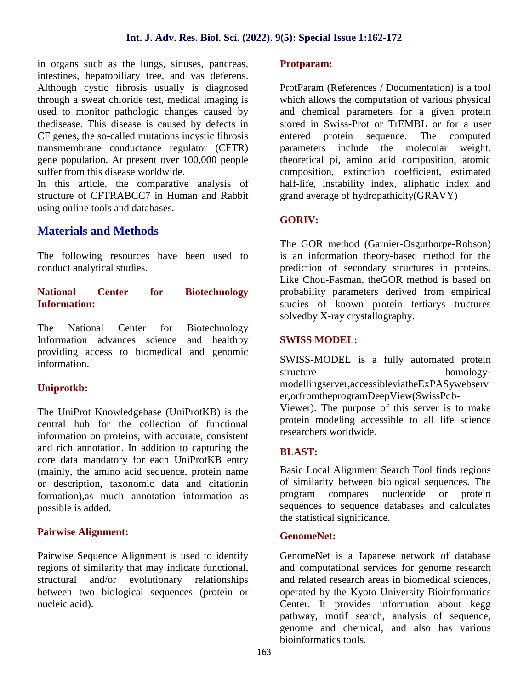in organs such as the lungs, sinuses, pancreas, intestines, hepatobiliary tree, and vas deferens. Although cystic fibrosis usually is diagnosed through a sweat chloride test, medical imaging is used to monitor pathologic changes caused by thedisease. This disease is caused by defects in CF genes, the so-called mutations incystic fibrosis transmembrane conductance regulator (CFTR) gene population. At present over 100,000 people suffer from this disease worldwide.

In this article, the comparative analysis of structure of CFTRABCC7 in Human and Rabbit using online tools and databases.

# **Materials and Methods**

The following resources have been used to conduct analytical studies.

### **National Center for Biotechnology Information:**

The National Center for Biotechnology Information advances science and healthby providing access to biomedical and genomic information.

# **Uniprotkb:**

The UniProt Knowledgebase (UniProtKB) is the central hub for the collection of functional information on proteins, with accurate, consistent and rich annotation. In addition to capturing the core data mandatory for each UniProtKB entry (mainly, the amino acid sequence, protein name or description, taxonomic data and citationin formation),as much annotation information as possible is added.

# **Pairwise Alignment:**

Pairwise Sequence Alignment is used to identify regions of similarity that may indicate functional, structural and/or evolutionary relationships between two biological sequences (protein or nucleic acid).

### **Protparam:**

ProtParam (References / Documentation) is a tool which allows the computation of various physical and chemical parameters for a given protein stored in Swiss-Prot or TrEMBL or for a user entered protein sequence. The computed parameters include the molecular weight, theoretical pi, amino acid composition, atomic composition, extinction coefficient, estimated half-life, instability index, aliphatic index and grand average of hydropathicity(GRAVY)

# **GORIV:**

The GOR method (Garnier-Osguthorpe-Robson) is an information theory-based method for the prediction of secondary structures in proteins. Like Chou-Fasman, theGOR method is based on probability parameters derived from empirical studies of known protein tertiarys tructures solvedby X-ray crystallography.

# **SWISS MODEL:**

SWISS-MODEL is a fully automated protein structure homologymodellingserver,accessibleviatheExPASywebserv er,orfromtheprogramDeepView(SwissPdb-

Viewer). The purpose of this server is to make protein modeling accessible to all life science researchers worldwide.

# **BLAST:**

Basic Local Alignment Search Tool finds regions of similarity between biological sequences. The program compares nucleotide or protein sequences to sequence databases and calculates the statistical significance.

### **GenomeNet:**

GenomeNet is a Japanese network of database and computational services for genome research and related research areas in biomedical sciences, operated by the Kyoto University Bioinformatics Center. It provides information about kegg pathway, motif search, analysis of sequence, genome and chemical, and also has various bioinformatics tools.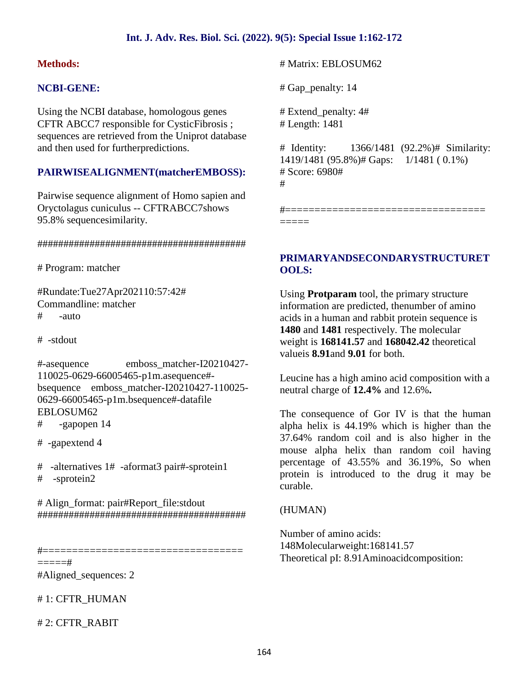## **Int. J. Adv. Res. Biol. Sci. (2022). 9(5): Special Issue 1:162-172**

### **Methods:**

## **NCBI-GENE:**

Using the NCBI database, homologous genes CFTR ABCC7 responsible for CysticFibrosis ; sequences are retrieved from the Uniprot database and then used for furtherpredictions.

## **PAIRWISEALIGNMENT(matcherEMBOSS):**

Pairwise sequence alignment of Homo sapien and Oryctolagus cuniculus -- CFTRABCC7shows 95.8% sequencesimilarity.

#### ########################################

# Program: matcher

#Rundate:Tue27Apr202110:57:42# Commandline: matcher  $#$  -auto

# -stdout

#-asequence emboss\_matcher-I20210427- 110025-0629-66005465-p1m.asequence# bsequence emboss\_matcher-I20210427-110025- 0629-66005465-p1m.bsequence#-datafile EBLOSUM62

- # -gapopen 14
- # -gapextend 4
- # -alternatives 1# -aformat3 pair#-sprotein1 # -sprotein2

# Align\_format: pair#Report\_file:stdout ########################################

#==================================  $==-=+$ 

#Aligned\_sequences: 2

# 1: CFTR\_HUMAN

# 2: CFTR\_RABIT

# Matrix: EBLOSUM62

# Gap\_penalty: 14

# Extend\_penalty: 4# # Length: 1481

# Identity: 1366/1481 (92.2%)# Similarity: 1419/1481 (95.8%)# Gaps: 1/1481 ( 0.1%) # Score: 6980# #

#================================== =====

# **PRIMARYANDSECONDARYSTRUCTURET OOLS:**

Using **Protparam** tool, the primary structure information are predicted, thenumber of amino acids in a human and rabbit protein sequence is **1480** and **1481** respectively. The molecular weight is **168141.57** and **168042.42** theoretical valueis **8.91**and **9.01** for both.

Leucine has a high amino acid composition with a neutral charge of **12.4%** and 12.6%**.**

The consequence of Gor IV is that the human alpha helix is 44.19% which is higher than the 37.64% random coil and is also higher in the mouse alpha helix than random coil having percentage of 43.55% and 36.19%, So when protein is introduced to the drug it may be curable.

#### (HUMAN)

Number of amino acids: 148Molecularweight:168141.57 Theoretical pI: 8.91Aminoacidcomposition: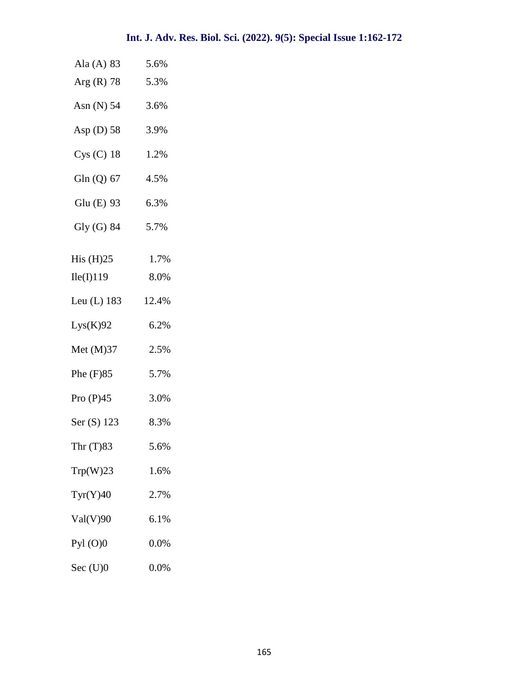| Ala $(A)$ 83      | 5.6%  |  |
|-------------------|-------|--|
| $Arg(R)$ 78       | 5.3%  |  |
| Asn (N) 54 3.6%   |       |  |
| Asp (D) 58 3.9%   |       |  |
| $Cys(C)$ 18       | 1.2%  |  |
| Gln (Q) $67$ 4.5% |       |  |
| Glu (E) 93 6.3%   |       |  |
| Gly $(G)$ 84 5.7% |       |  |
| His $(H)25$       | 1.7%  |  |
| Ile(I)119         | 8.0%  |  |
| Leu (L) 183       | 12.4% |  |
| Lys(K)92          | 6.2%  |  |
| Met (M)37         | 2.5%  |  |
| Phe (F)85         | 5.7%  |  |
| Pro $(P)45$       | 3.0%  |  |
| Ser (S) 123       | 8.3%  |  |
| Thr $(T)83$       | 5.6%  |  |
| Trp(W)23          | 1.6%  |  |
| Tyr(Y)40          | 2.7%  |  |
| Val(V)90          | 6.1%  |  |
| Pyl $(O)0$        | 0.0%  |  |
| $Sec$ $(U)0$      | 0.0%  |  |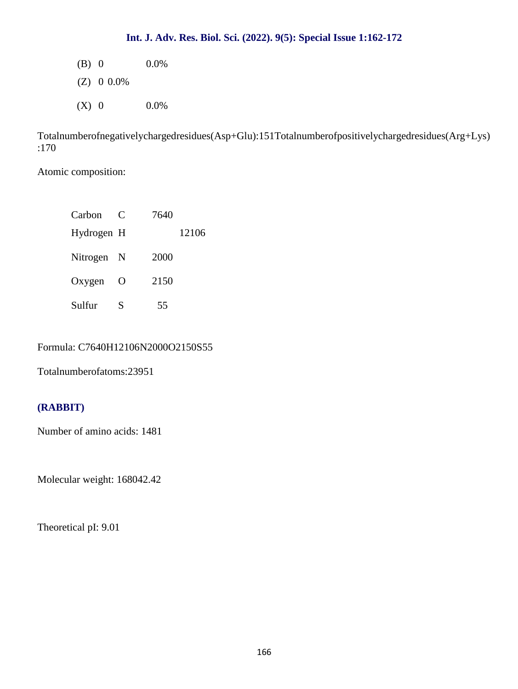# **Int. J. Adv. Res. Biol. Sci. (2022). 9(5): Special Issue 1:162-172**

(B) 0  $0.0\%$ 

(Z) 0 0.0%

 $(X)$  0 0.0%

Totalnumberofnegativelychargedresidues(Asp+Glu):151Totalnumberofpositivelychargedresidues(Arg+Lys) :170

Atomic composition:

| Carbon     | C        | 7640  |
|------------|----------|-------|
| Hydrogen H |          | 12106 |
| Nitrogen N |          | 2000  |
| Oxygen     | $\Omega$ | 2150  |
| Sulfur     | S        | 55    |

# Formula: C7640H12106N2000O2150S55

Totalnumberofatoms:23951

# **(RABBIT)**

Number of amino acids: 1481

Molecular weight: 168042.42

Theoretical pI: 9.01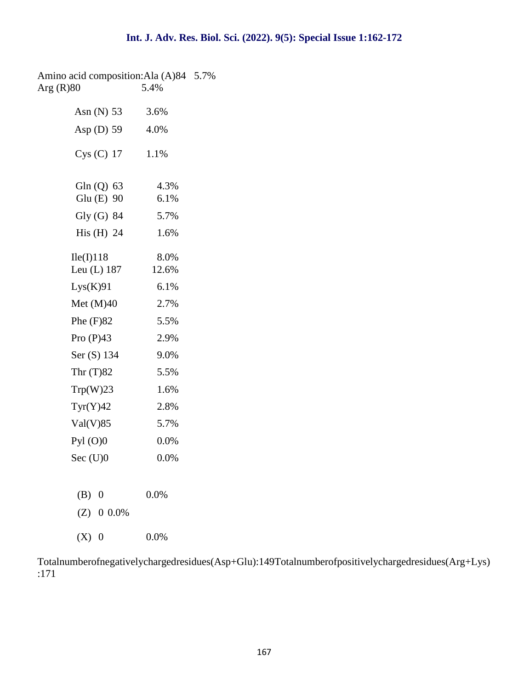Amino acid composition:Ala (A)84 5.7%<br>Arg (R)80 5.4% Arg $(R)80$ 

| Asn $(N)$ 53               | 3.6%          |
|----------------------------|---------------|
| Asp $(D)$ 59               | 4.0%          |
| $Cys$ (C) 17               | 1.1%          |
| Gln $(Q)$ 63<br>Glu (E) 90 | 4.3%<br>6.1%  |
| Gly (G) 84                 | 5.7%          |
| His $(H)$ 24               | 1.6%          |
| Ile(I)118<br>Leu $(L)$ 187 | 8.0%<br>12.6% |
| Lys(K)91                   | 6.1%          |
| Met $(M)40$                | 2.7%          |
| Phe $(F)82$                | 5.5%          |
| Pro $(P)43$                | 2.9%          |
| Ser (S) 134                | 9.0%          |
| Thr $(T)82$                | 5.5%          |
| Trp(W)23                   | 1.6%          |
| Tyr(Y)42                   | 2.8%          |
| Val(V)85                   | 5.7%          |
| $Pyl$ (O)0                 | 0.0%          |
| Sec $(U)0$                 | 0.0%          |
|                            |               |
| $(B)$ 0                    | 0.0%          |
| $(Z)$ 0 0.0%               |               |
| (X)<br>$\overline{0}$      | 0.0%          |

Totalnumberofnegativelychargedresidues(Asp+Glu):149Totalnumberofpositivelychargedresidues(Arg+Lys) :171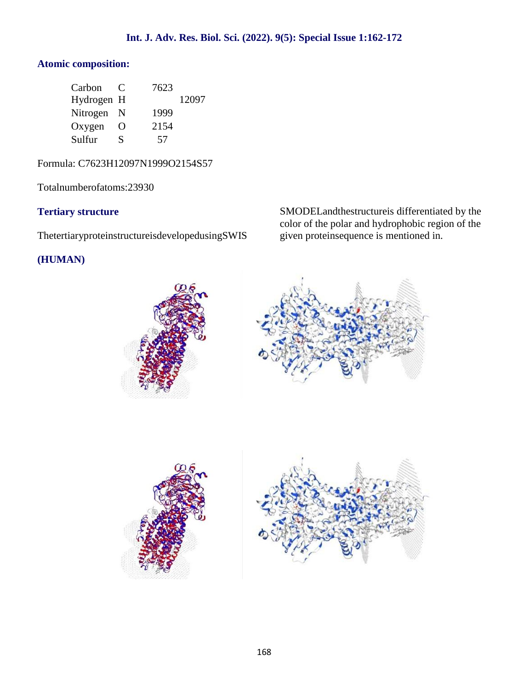# **Atomic composition:**

| Carbon     | $\mathbf{\mathcal{L}}$ | 7623 |       |  |
|------------|------------------------|------|-------|--|
| Hydrogen H |                        |      | 12097 |  |
| Nitrogen N |                        | 1999 |       |  |
| Oxygen     | $\Omega$               | 2154 |       |  |
| Sulfur     | S                      | 57   |       |  |

Formula: C7623H12097N1999O2154S57

Totalnumberofatoms:23930

# **Tertiary structure**

ThetertiaryproteinstructureisdevelopedusingSWIS

# **(HUMAN)**

SMODELandthestructureis differentiated by the color of the polar and hydrophobic region of the given proteinsequence is mentioned in.





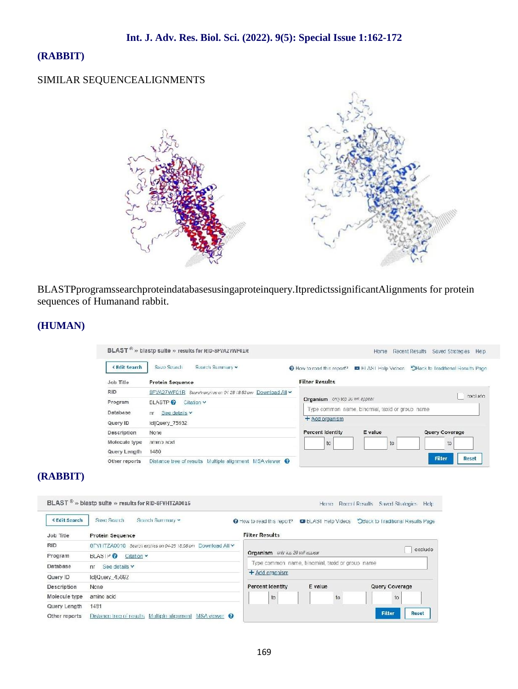# **(RABBIT)**

# SIMILAR SEQUENCEALIGNMENTS



BLASTPprogramssearchproteindatabasesusingaproteinquery.ItpredictssignificantAlignments for protein sequences of Humanand rabbit.

# **(HUMAN)**

|                     | BLAST <sup>®</sup> » blastp suite » results for RID-8FVA27WF01R |                                                                                     | Home                       | Recent Results<br>Saved Strategies<br>He p |  |
|---------------------|-----------------------------------------------------------------|-------------------------------------------------------------------------------------|----------------------------|--------------------------------------------|--|
| <b>KEdit Search</b> | Seve Search<br>Search Summary v                                 | How to read this report?                                                            | <b>B</b> BLAST Help Videos | SBack to Traditional Results Page          |  |
| Job Title           | Protein Sequence                                                | <b>Filter Results</b>                                                               |                            |                                            |  |
| <b>RID</b>          | 8FVA27WF01R Search expires on 04 28 18.53 cm Download All ~     |                                                                                     |                            | exclude.                                   |  |
| Program             | <b>DLASTPO</b><br>Citation v                                    | Organism only top 20 will appear<br>Type common name, binomial, taxid or group name |                            |                                            |  |
| Database            | See details v<br>nr.                                            |                                                                                     |                            |                                            |  |
| Query ID            | Icl Query 75932                                                 | $+$ Add organism                                                                    |                            |                                            |  |
| Description         | None                                                            | Percent Identity                                                                    | E value                    | Query Coverage                             |  |
| Molecule type       | amino acid                                                      | to                                                                                  | to                         | 10                                         |  |
| Query Length        | 1480                                                            |                                                                                     |                            |                                            |  |
| Other reports       | Distance tree of results Multiple alignment MSA viewer @        |                                                                                     |                            | Filter<br>Reset                            |  |

# **(RABBIT)**

| <b>KEdit Search</b> | Save Search<br>Search Summary v                               | O How to read this report? C BLAST Help Videos  |         | OBack to Traditional Results Page |
|---------------------|---------------------------------------------------------------|-------------------------------------------------|---------|-----------------------------------|
| Job Title           | Protein Sequence                                              | <b>Filter Results</b>                           |         |                                   |
| <b>RID</b>          | 8FVI ITZA0016 Search expires on 04-28 18:58 om Download All Y |                                                 |         | exclude                           |
| Program             | $BLAS$ $P$<br>Citation v                                      | Organism univ icp 20 will eppear                |         |                                   |
| Database            | See details v<br>n <sub>r</sub>                               | Type common name, binomial, taxid or group name |         |                                   |
| Query ID            | Icl Query_45692                                               | $+$ Add organism                                |         |                                   |
| <b>Description</b>  | None                                                          | Percent Identity                                | E value | Query Coverage                    |
| Molecule type       | amino acid                                                    | to                                              | to      | to                                |
| Query Length        | 1481                                                          |                                                 |         |                                   |
| Other reports       | Distance free of results. Maltiple alignment. MSA viewer. @   |                                                 |         | <b>Filter</b><br>Reset            |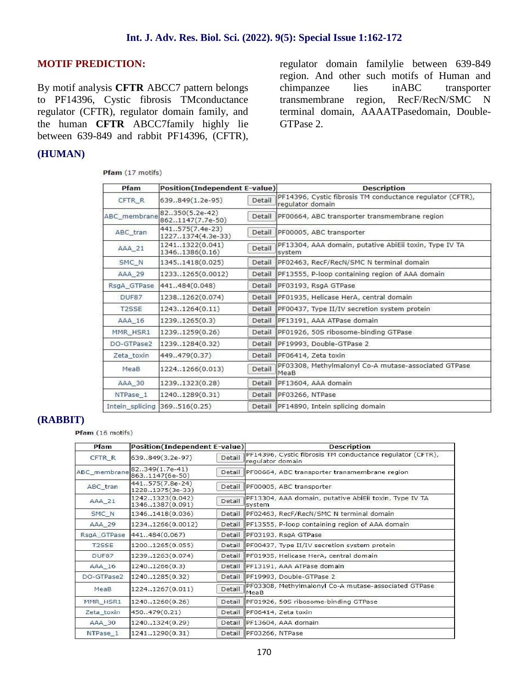# **MOTIF PREDICTION:**

By motif analysis **CFTR** ABCC7 pattern belongs to PF14396, Cystic fibrosis TMconductance regulator (CFTR), regulator domain family, and the human **CFTR** ABCC7family highly lie between 639-849 and rabbit PF14396, (CFTR),

# **(HUMAN)**

Pfam (17 motifs)

regulator domain familylie between 639-849 region. And other such motifs of Human and chimpanzee lies inABC transporter transmembrane region, RecF/RecN/SMC N terminal domain, AAAATPasedomain, Double- GTPase 2.

| Pfam               | <b>Position(Independent E-value)</b>  |        | <b>Description</b>                                                            |  |
|--------------------|---------------------------------------|--------|-------------------------------------------------------------------------------|--|
| CFTR R             | 639849(1.2e-95)                       | Detail | PF14396, Cystic fibrosis TM conductance regulator (CFTR),<br>regulator domain |  |
| ABC membrane       | 82350(5.2e-42)<br>8621147(7.7e-50)    | Detail | PF00664, ABC transporter transmembrane region                                 |  |
| ABC_tran           | 441.575(7.4e-23)<br>12271374(4.3e-33) | Detail | PF00005, ABC transporter                                                      |  |
| AAA 21             | 12411322(0.041)<br>13461386(0.16)     | Detail | PF13304, AAA domain, putative AbiEii toxin, Type IV TA<br>system              |  |
| SMC N              | 13451418(0.025)                       | Detail | PF02463, RecF/RecN/SMC N terminal domain                                      |  |
| AAA 29             | 12331265(0.0012)                      | Detail | PF13555, P-loop containing region of AAA domain                               |  |
| RsgA GTPase        | 441484(0.048)                         | Detail | PF03193, RsgA GTPase                                                          |  |
| DUF87              | 12381262(0.074)                       | Detail | PF01935, Helicase HerA, central domain                                        |  |
| T <sub>2</sub> SSE | 12431264(0.11)                        | Detail | PF00437, Type II/IV secretion system protein                                  |  |
| AAA 16             | 12391265(0.3)                         | Detail | PF13191, AAA ATPase domain                                                    |  |
| MMR HSR1           | 12391259(0.26)                        | Detail | IPF01926, 50S ribosome-binding GTPase                                         |  |
| DO-GTPase2         | 12391284(0.32)                        | Detail | PF19993, Double-GTPase 2                                                      |  |
| Zeta toxin         | 449.479(0.37)                         | Detail | PF06414, Zeta toxin                                                           |  |
| MeaB               | 12241266(0.013)                       | Detail | PF03308, Methylmalonyl Co-A mutase-associated GTPase<br>MeaB                  |  |
| AAA 30             | 12391323(0.28)                        | Detail | PF13604, AAA domain                                                           |  |
| NTPase 1           | 12401289(0.31)                        | Detail | PF03266, NTPase                                                               |  |
| Intein splicing    | 369.516(0.25)                         | Detail | PF14890, Intein splicing domain                                               |  |

### **(RABBIT)**

#### Pfam (16 motifs)

| Pfam               | <b>Position(Independent E-value)</b> |        | <b>Description</b>                                                            |
|--------------------|--------------------------------------|--------|-------------------------------------------------------------------------------|
| CFTR <sub>R</sub>  | 639849(3.2e-97)                      | Detail | PF14396, Cystic fibrosis TM conductance regulator (CFTR),<br>regulator domain |
| ABC membrane       | 82349(1.7e-41)<br>8631147(6e-50)     | Detail | PF00664, ABC transporter transmembrane region                                 |
| ABC tran           | 441575(7.8e-24)<br>12281375(3e-33)   | Detail | PF00005, ABC transporter                                                      |
| AAA 21             | 12421323(0.042)<br>13461387(0.091)   | Detail | PF13304, AAA domain, putative AbiEii toxin, Type IV TA<br>system              |
| SMC_N              | 13461418(0.036)                      | Detail | PF02463, RecF/RecN/SMC N terminal domain                                      |
| AAA 29             | 12341266(0.0012)                     |        | Detail PF13555, P-loop containing region of AAA domain                        |
| RsgA GTPase        | 441.,484(0.067)                      |        | Detail PF03193, RsgA GTPase                                                   |
| T <sub>2</sub> SSE | 12001265(0.055)                      | Detail | PF00437, Type II/IV secretion system protein                                  |
| DUF87              | 12391263(0.074)                      | Detail | PF01935, Helicase HerA, central domain                                        |
| AAA 16             | 12401266(0.3)                        |        | Detail PF13191, AAA ATPase domain                                             |
| DO-GTPase2         | 12401285(0.32)                       |        | Detail PF19993, Double-GTPase 2                                               |
| MeaB               | 12241267(0.011)                      | Detail | PF03308, Methylmalonyl Co-A mutase-associated GTPase<br>MeaB                  |
| MMR HSR1           | 12401260(0.26)                       | Detail | PF01926, 50S ribosome-binding GTPase                                          |
| Zeta_toxin         | 450479(0.21)                         | Detail | PF06414, Zeta toxin                                                           |
| AAA 30             | 12401324(0.29)                       | Detail | PF13604, AAA domain                                                           |
| NTPase 1           | 12411290(0.31)                       |        | Detail PF03266, NTPase                                                        |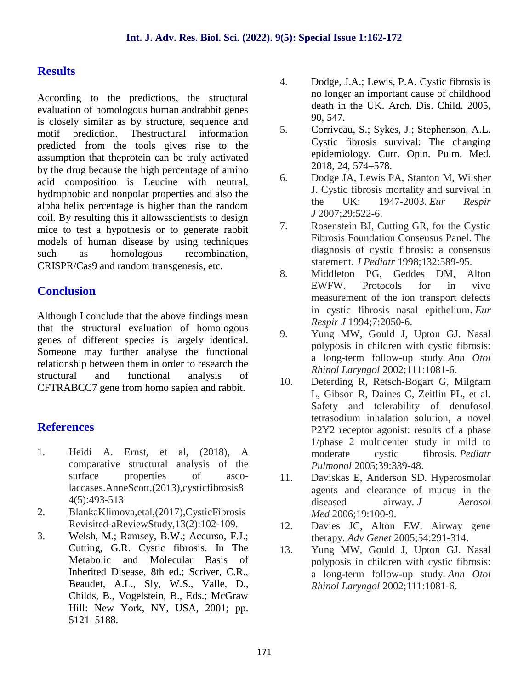# **Results**

According to the predictions, the structural evaluation of homologous human andrabbit genes is closely similar as by structure, sequence and<br>matif and information 5. motif prediction. Thestructural information predicted from the tools gives rise to the assumption that theprotein can be truly activated by the drug because the high percentage of amino<br>
said expressition is Lausing with poutral 6. acid composition is Leucine with neutral, hydrophobic and nonpolar properties and also the alpha helix percentage is higher than the random coil. By resulting this it allows<br>scientists to design  $\frac{1}{2}$ mice to test a hypothesis or to generate rabbit models of human disease by using techniques such as homologous recombination, CRISPR/Cas9 and random transgenesis, etc.

# **Conclusion**

Although I conclude that the above findings mean that the structural evaluation of homologous genes of different species is largely identical. Someone may further analyse the functional relationship between them in order to research the structural and functional analysis of CFTRABCC7 gene from homo sapien and rabbit.

# **References**

- 1. Heidi A. Ernst, et al, (2018), A comparative structural analysis of the surface properties of ascolaccases.AnneScott,(2013),cysticfibrosis8 4(5):493-513
- 2. BlankaKlimova,etal,(2017),CysticFibrosis Revisited-aReviewStudy,13(2):102-109.
- 3. Welsh, M.; Ramsey, B.W.; Accurso, F.J.; Cutting, G.R. Cystic fibrosis. In The Metabolic and Molecular Basis of Inherited Disease, 8th ed.; Scriver, C.R., Beaudet, A.L., Sly, W.S., Valle, D., Childs, B., Vogelstein, B., Eds.; McGraw Hill: New York, NY, USA, 2001; pp. 5121–5188.
- 4. Dodge, J.A.; Lewis, P.A. Cystic fibrosis is no longer an important cause of childhood death in the UK. Arch. Dis. Child. 2005, 90, 547.
- 5. Corriveau, S.; Sykes, J.; Stephenson, A.L. Cystic fibrosis survival: The changing epidemiology. Curr. Opin. Pulm. Med. 2018, 24, 574–578.
- 6. Dodge JA, Lewis PA, Stanton M, Wilsher J. Cystic fibrosis mortality and survival in the UK: 1947-2003. *Eur Respir J* 2007;29:522-6.
- 7. Rosenstein BJ, Cutting GR, for the Cystic Fibrosis Foundation Consensus Panel. The diagnosis of cystic fibrosis: a consensus statement. *J Pediatr* 1998;132:589-95.
- 8. Middleton PG, Geddes DM, Alton EWFW. Protocols for in vivo measurement of the ion transport defects in cystic fibrosis nasal epithelium. *Eur Respir J* 1994;7:2050-6.
- 9. Yung MW, Gould J, Upton GJ. Nasal polyposis in children with cystic fibrosis: a long-term follow-up study. *Ann Otol Rhinol Laryngol* 2002;111:1081-6.
- 10. Deterding R, Retsch-Bogart G, Milgram L, Gibson R, Daines C, Zeitlin PL, et al. Safety and tolerability of denufosol tetrasodium inhalation solution, a novel P2Y2 receptor agonist: results of a phase 1/phase 2 multicenter study in mild to moderate cystic fibrosis. *Pediatr Pulmonol* 2005;39:339-48.
- 11. Daviskas E, Anderson SD. Hyperosmolar agents and clearance of mucus in the diseased airway. *J Aerosol Med* 2006;19:100-9.
- 12. Davies JC, Alton EW. Airway gene therapy. *Adv Genet* 2005;54:291-314.
- Yung MW, Gould J, Upton GJ. Nasal polyposis in children with cystic fibrosis: a long-term follow-up study. *Ann Otol Rhinol Laryngol* 2002;111:1081-6.